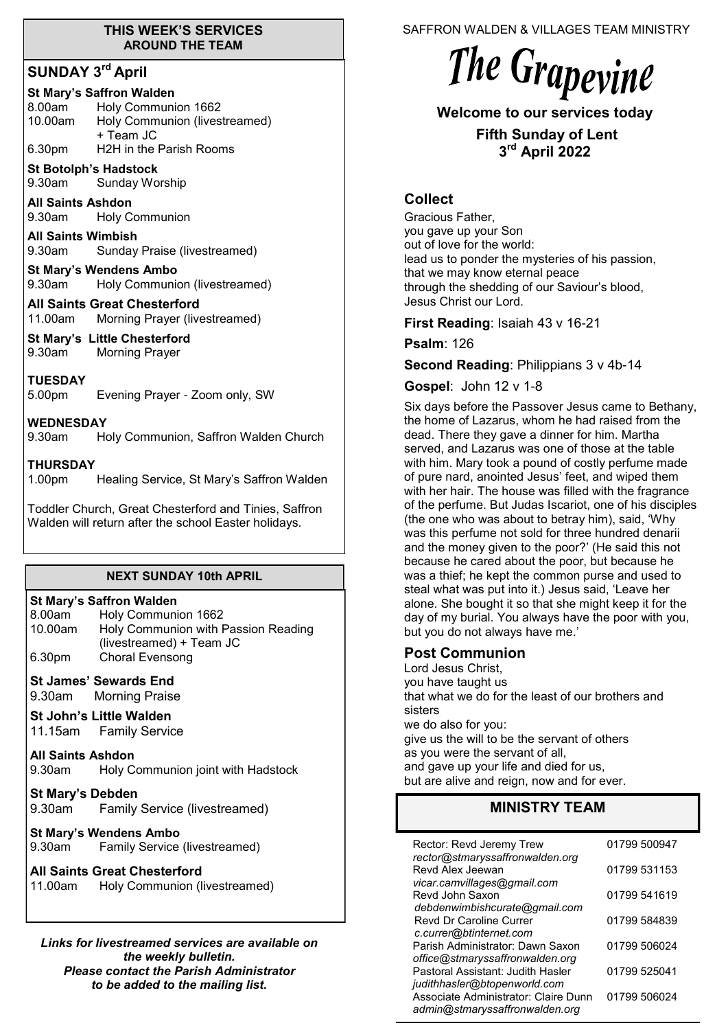#### **THIS WEEK'S SERVICES AROUND THE TEAM**

## **SUNDAY 3rd April**

#### **St Mary's Saffron Walden**

| 8.00am  | Holy Communion 1662           |
|---------|-------------------------------|
| 10.00am | Holy Communion (livestreamed) |
|         | + Team JC                     |
| 6.30pm  | H2H in the Parish Rooms       |

**St Botolph's Hadstock**  9.30am Sunday Worship

**All Saints Ashdon**  9.30am Holy Communion

**All Saints Wimbish** 9.30am Sunday Praise (livestreamed)

**St Mary's Wendens Ambo** 9.30am Holy Communion (livestreamed)

**All Saints Great Chesterford** 11.00am Morning Prayer (livestreamed)

**St Mary's Little Chesterford** 9.30am Morning Prayer

**TUESDAY** 5.00pm Evening Prayer - Zoom only, SW

**WEDNESDAY**

9.30am Holy Communion, Saffron Walden Church

#### **THURSDAY**

1.00pm Healing Service, St Mary's Saffron Walden

Toddler Church, Great Chesterford and Tinies, Saffron Walden will return after the school Easter holidays.

#### **NEXT SUNDAY 10th APRIL**

| <b>St Mary's Saffron Walden</b> |                                     |  |
|---------------------------------|-------------------------------------|--|
| 8.00am                          | Holy Communion 1662                 |  |
| 10.00am                         | Holy Communion with Passion Reading |  |
|                                 | (livestreamed) + Team JC            |  |
| 6.30pm                          | Choral Evensong                     |  |

**St James' Sewards End** 

9.30am Morning Praise

**St John's Little Walden** 

11.15am Family Service

**All Saints Ashdon**  9.30am Holy Communion joint with Hadstock

**St Mary's Debden** 9.30am Family Service (livestreamed)

**St Mary's Wendens Ambo** 9.30am Family Service (livestreamed)

#### **All Saints Great Chesterford**

11.00am Holy Communion (livestreamed)

*Links for livestreamed services are available on the weekly bulletin. Please contact the Parish Administrator to be added to the mailing list.*

SAFFRON WALDEN & VILLAGES TEAM MINISTRY

# The Grapevine

# **Welcome to our services today**

**Fifth Sunday of Lent 3 rd April 2022**

#### **Collect**

Gracious Father, you gave up your Son out of love for the world: lead us to ponder the mysteries of his passion, that we may know eternal peace through the shedding of our Saviour's blood, Jesus Christ our Lord.

#### **First Reading**: Isaiah 43 v 16-21

**Psalm**: 126

**Second Reading**: Philippians 3 v 4b-14

#### **Gospel**: John 12 v 1-8

Six days before the Passover Jesus came to Bethany, the home of Lazarus, whom he had raised from the dead. There they gave a dinner for him. Martha served, and Lazarus was one of those at the table with him. Mary took a pound of costly perfume made of pure nard, anointed Jesus' feet, and wiped them with her hair. The house was filled with the fragrance of the perfume. But Judas Iscariot, one of his disciples (the one who was about to betray him), said, 'Why was this perfume not sold for three hundred denarii and the money given to the poor?' (He said this not because he cared about the poor, but because he was a thief; he kept the common purse and used to steal what was put into it.) Jesus said, 'Leave her alone. She bought it so that she might keep it for the day of my burial. You always have the poor with you, but you do not always have me.'

## **Post Communion**

Lord Jesus Christ, you have taught us that what we do for the least of our brothers and sisters we do also for you: give us the will to be the servant of others as you were the servant of all, and gave up your life and died for us, but are alive and reign, now and for ever.

## **MINISTRY TEAM**

| Rector: Revd Jeremy Trew<br>rector@stmaryssaffronwalden.org                                            | 01799 500947 |
|--------------------------------------------------------------------------------------------------------|--------------|
| Revd Alex Jeewan<br>vicar.camvillages@gmail.com                                                        | 01799 531153 |
| Revd John Saxon<br>debdenwimbishcurate@gmail.com                                                       | 01799 541619 |
| <b>Revd Dr Caroline Currer</b>                                                                         | 01799 584839 |
| c.currer@btinternet.com<br>Parish Administrator: Dawn Saxon                                            | 01799 506024 |
| office@stmaryssaffronwalden.org<br>Pastoral Assistant: Judith Hasler                                   | 01799 525041 |
| judithhasler@btopenworld.com<br>Associate Administrator: Claire Dunn<br>admin@stmaryssaffronwalden.org | 01799 506024 |